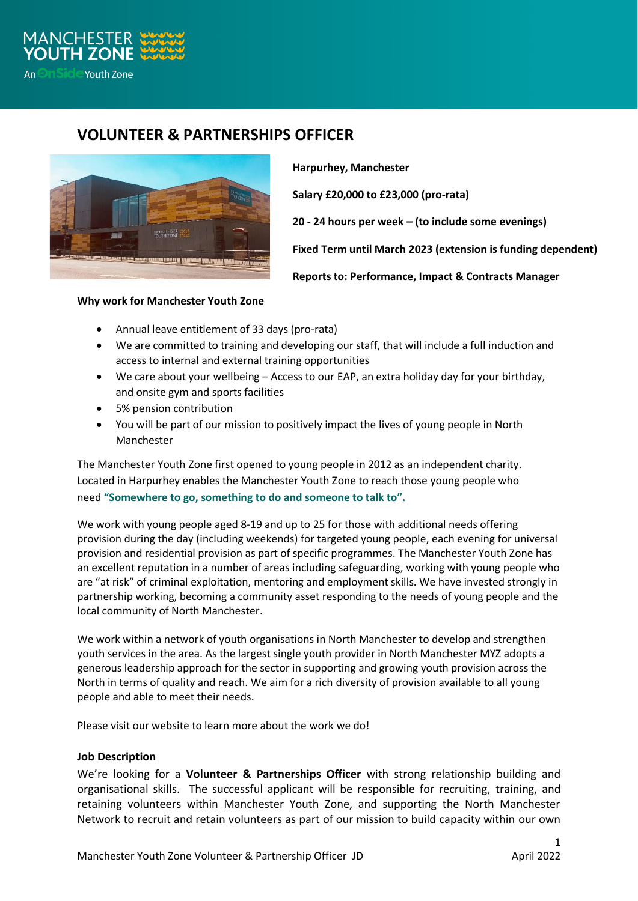

## **VOLUNTEER & PARTNERSHIPS OFFICER**



**Harpurhey, Manchester**

**Salary £20,000 to £23,000 (pro-rata)**

**20 - 24 hours per week – (to include some evenings)**

**Fixed Term until March 2023 (extension is funding dependent)**

**Reports to: Performance, Impact & Contracts Manager**

## **Why work for Manchester Youth Zone**

- Annual leave entitlement of 33 days (pro-rata)
- We are committed to training and developing our staff, that will include a full induction and access to internal and external training opportunities
- We care about your wellbeing Access to our EAP, an extra holiday day for your birthday, and onsite gym and sports facilities
- 5% pension contribution
- You will be part of our mission to positively impact the lives of young people in North Manchester

The Manchester Youth Zone first opened to young people in 2012 as an independent charity. Located in Harpurhey enables the Manchester Youth Zone to reach those young people who need **"Somewhere to go, something to do and someone to talk to".**

We work with young people aged 8-19 and up to 25 for those with additional needs offering provision during the day (including weekends) for targeted young people, each evening for universal provision and residential provision as part of specific programmes. The Manchester Youth Zone has an excellent reputation in a number of areas including safeguarding, working with young people who are "at risk" of criminal exploitation, mentoring and employment skills. We have invested strongly in partnership working, becoming a community asset responding to the needs of young people and the local community of North Manchester.

We work within a network of youth organisations in North Manchester to develop and strengthen youth services in the area. As the largest single youth provider in North Manchester MYZ adopts a generous leadership approach for the sector in supporting and growing youth provision across the North in terms of quality and reach. We aim for a rich diversity of provision available to all young people and able to meet their needs.

Please visit our website to learn more about the work we do!

## **Job Description**

We're looking for a **Volunteer & Partnerships Officer** with strong relationship building and organisational skills. The successful applicant will be responsible for recruiting, training, and retaining volunteers within Manchester Youth Zone, and supporting the North Manchester Network to recruit and retain volunteers as part of our mission to build capacity within our own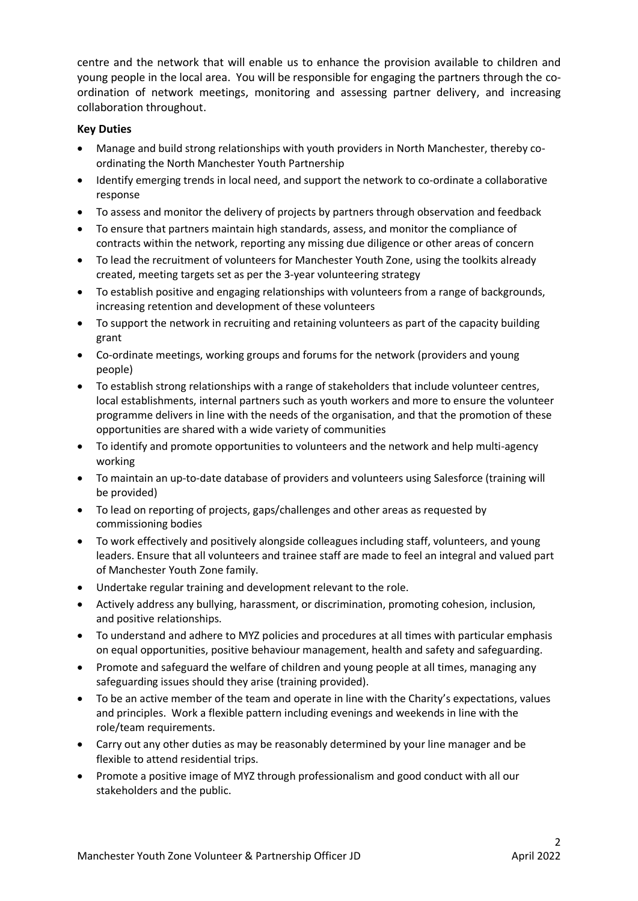centre and the network that will enable us to enhance the provision available to children and young people in the local area. You will be responsible for engaging the partners through the coordination of network meetings, monitoring and assessing partner delivery, and increasing collaboration throughout.

## **Key Duties**

- Manage and build strong relationships with youth providers in North Manchester, thereby coordinating the North Manchester Youth Partnership
- Identify emerging trends in local need, and support the network to co-ordinate a collaborative response
- To assess and monitor the delivery of projects by partners through observation and feedback
- To ensure that partners maintain high standards, assess, and monitor the compliance of contracts within the network, reporting any missing due diligence or other areas of concern
- To lead the recruitment of volunteers for Manchester Youth Zone, using the toolkits already created, meeting targets set as per the 3-year volunteering strategy
- To establish positive and engaging relationships with volunteers from a range of backgrounds, increasing retention and development of these volunteers
- To support the network in recruiting and retaining volunteers as part of the capacity building grant
- Co-ordinate meetings, working groups and forums for the network (providers and young people)
- To establish strong relationships with a range of stakeholders that include volunteer centres, local establishments, internal partners such as youth workers and more to ensure the volunteer programme delivers in line with the needs of the organisation, and that the promotion of these opportunities are shared with a wide variety of communities
- To identify and promote opportunities to volunteers and the network and help multi-agency working
- To maintain an up-to-date database of providers and volunteers using Salesforce (training will be provided)
- To lead on reporting of projects, gaps/challenges and other areas as requested by commissioning bodies
- To work effectively and positively alongside colleagues including staff, volunteers, and young leaders. Ensure that all volunteers and trainee staff are made to feel an integral and valued part of Manchester Youth Zone family.
- Undertake regular training and development relevant to the role.
- Actively address any bullying, harassment, or discrimination, promoting cohesion, inclusion, and positive relationships.
- To understand and adhere to MYZ policies and procedures at all times with particular emphasis on equal opportunities, positive behaviour management, health and safety and safeguarding.
- Promote and safeguard the welfare of children and young people at all times, managing any safeguarding issues should they arise (training provided).
- To be an active member of the team and operate in line with the Charity's expectations, values and principles. Work a flexible pattern including evenings and weekends in line with the role/team requirements.
- Carry out any other duties as may be reasonably determined by your line manager and be flexible to attend residential trips.
- Promote a positive image of MYZ through professionalism and good conduct with all our stakeholders and the public.